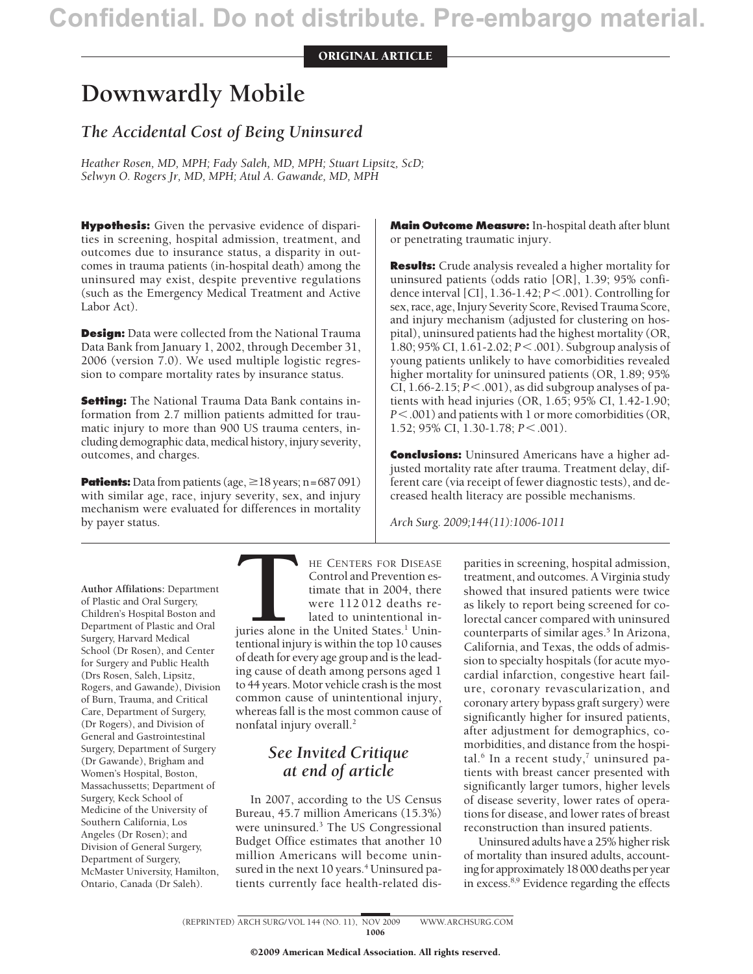#### ORIGINAL ARTICLE

# **Downwardly Mobile**

### *The Accidental Cost of Being Uninsured*

*Heather Rosen, MD, MPH; Fady Saleh, MD, MPH; Stuart Lipsitz, ScD; Selwyn O. Rogers Jr, MD, MPH; Atul A. Gawande, MD, MPH*

**Hypothesis:** Given the pervasive evidence of disparities in screening, hospital admission, treatment, and outcomes due to insurance status, a disparity in outcomes in trauma patients (in-hospital death) among the uninsured may exist, despite preventive regulations (such as the Emergency Medical Treatment and Active Labor Act).

**Design:** Data were collected from the National Trauma Data Bank from January 1, 2002, through December 31, 2006 (version 7.0). We used multiple logistic regression to compare mortality rates by insurance status.

**Setting:** The National Trauma Data Bank contains information from 2.7 million patients admitted for traumatic injury to more than 900 US trauma centers, including demographic data, medical history, injury severity, outcomes, and charges.

**Patients:** Data from patients (age,  $\geq$  18 years; n=687 091) with similar age, race, injury severity, sex, and injury mechanism were evaluated for differences in mortality by payer status.

**Author Affilations:** Department of Plastic and Oral Surgery, Children's Hospital Boston and Department of Plastic and Oral Surgery, Harvard Medical School (Dr Rosen), and Center for Surgery and Public Health (Drs Rosen, Saleh, Lipsitz, Rogers, and Gawande), Division of Burn, Trauma, and Critical Care, Department of Surgery, (Dr Rogers), and Division of General and Gastrointestinal Surgery, Department of Surgery (Dr Gawande), Brigham and Women's Hospital, Boston, Massachussetts; Department of Surgery, Keck School of Medicine of the University of Southern California, Los Angeles (Dr Rosen); and Division of General Surgery, Department of Surgery, McMaster University, Hamilton, Ontario, Canada (Dr Saleh).

THE CENTERS FOR DISEASE<br>
Control and Prevention es-<br>
timate that in 2004, there<br>
were 112 012 deaths re-<br>
lated to unintentional in-<br>
juries alone in the United States.<sup>1</sup> Unin-<br>
tentional injury is within the top 10 cause Control and Prevention estimate that in 2004, there were 112 012 deaths related to unintentional in-

juries alone in the United States. $<sup>1</sup>$  Unin-</sup> of death for every age group and is the leading cause of death among persons aged 1 to 44 years. Motor vehicle crash is the most common cause of unintentional injury, whereas fall is the most common cause of nonfatal injury overall.2

### *See Invited Critique at end of article*

In 2007, according to the US Census Bureau, 45.7 million Americans (15.3%) were uninsured.3 The US Congressional Budget Office estimates that another 10 million Americans will become uninsured in the next 10 years.<sup>4</sup> Uninsured patients currently face health-related dis-

**Main Outcome Measure:** In-hospital death after blunt or penetrating traumatic injury.

**Results:** Crude analysis revealed a higher mortality for uninsured patients (odds ratio [OR], 1.39; 95% confidence interval [CI], 1.36-1.42; *P*.001). Controlling for sex, race, age, Injury Severity Score, Revised Trauma Score, and injury mechanism (adjusted for clustering on hospital), uninsured patients had the highest mortality (OR, 1.80; 95% CI, 1.61-2.02; *P*.001). Subgroup analysis of young patients unlikely to have comorbidities revealed higher mortality for uninsured patients (OR, 1.89; 95% CI,  $1.66 - 2.15$ ;  $P < .001$ ), as did subgroup analyses of patients with head injuries (OR, 1.65; 95% CI, 1.42-1.90; *P*.001) and patients with 1 or more comorbidities (OR, 1.52; 95% CI, 1.30-1.78; *P* < .001).

**Conclusions:** Uninsured Americans have a higher adjusted mortality rate after trauma. Treatment delay, different care (via receipt of fewer diagnostic tests), and decreased health literacy are possible mechanisms.

*Arch Surg. 2009;144(11):1006-1011*

parities in screening, hospital admission, treatment, and outcomes. A Virginia study showed that insured patients were twice as likely to report being screened for colorectal cancer compared with uninsured counterparts of similar ages.<sup>5</sup> In Arizona, California, and Texas, the odds of admission to specialty hospitals (for acute myocardial infarction, congestive heart failure, coronary revascularization, and coronary artery bypass graft surgery) were significantly higher for insured patients, after adjustment for demographics, comorbidities, and distance from the hospital.<sup>6</sup> In a recent study,<sup>7</sup> uninsured patients with breast cancer presented with significantly larger tumors, higher levels of disease severity, lower rates of operations for disease, and lower rates of breast reconstruction than insured patients.

Uninsured adults have a 25% higher risk of mortality than insured adults, accountingfor approximately 18 000 deaths per year in excess.<sup>8,9</sup> Evidence regarding the effects

1006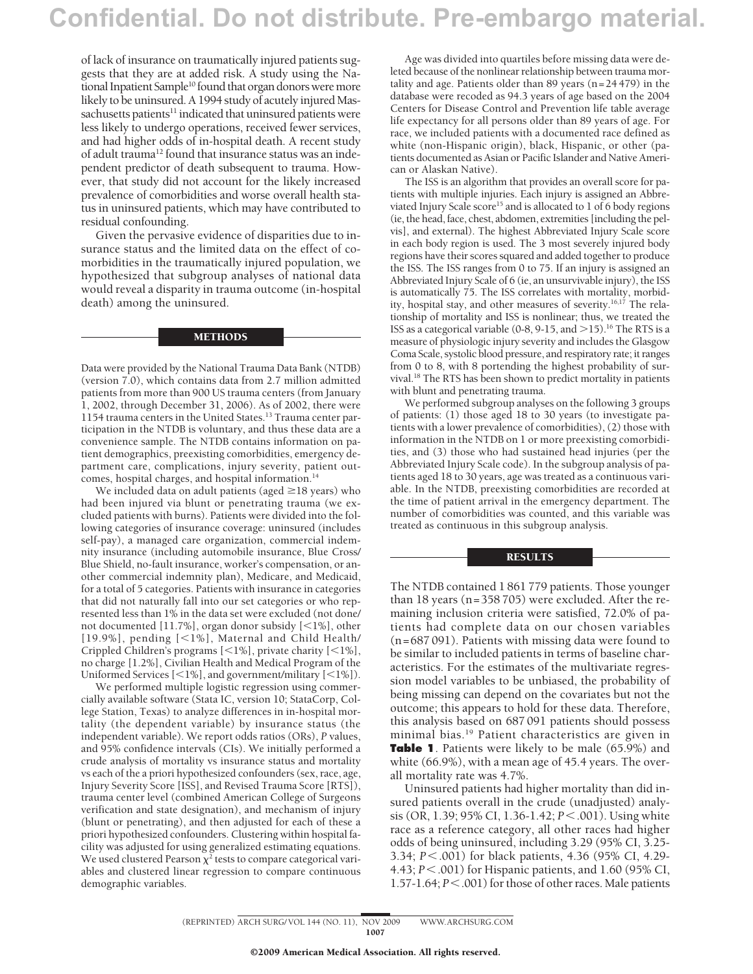of lack of insurance on traumatically injured patients suggests that they are at added risk. A study using the National Inpatient Sample<sup>10</sup> found that organ donors were more likely to be uninsured. A 1994 study of acutely injured Massachusetts patients<sup>11</sup> indicated that uninsured patients were less likely to undergo operations, received fewer services, and had higher odds of in-hospital death. A recent study of adult trauma<sup>12</sup> found that insurance status was an independent predictor of death subsequent to trauma. However, that study did not account for the likely increased prevalence of comorbidities and worse overall health status in uninsured patients, which may have contributed to residual confounding.

Given the pervasive evidence of disparities due to insurance status and the limited data on the effect of comorbidities in the traumatically injured population, we hypothesized that subgroup analyses of national data would reveal a disparity in trauma outcome (in-hospital death) among the uninsured.

#### METHODS

Data were provided by the National Trauma Data Bank (NTDB) (version 7.0), which contains data from 2.7 million admitted patients from more than 900 US trauma centers (from January 1, 2002, through December 31, 2006). As of 2002, there were 1154 trauma centers in the United States.<sup>13</sup> Trauma center participation in the NTDB is voluntary, and thus these data are a convenience sample. The NTDB contains information on patient demographics, preexisting comorbidities, emergency department care, complications, injury severity, patient outcomes, hospital charges, and hospital information.<sup>14</sup>

We included data on adult patients (aged  $\geq$ 18 years) who had been injured via blunt or penetrating trauma (we excluded patients with burns). Patients were divided into the following categories of insurance coverage: uninsured (includes self-pay), a managed care organization, commercial indemnity insurance (including automobile insurance, Blue Cross/ Blue Shield, no-fault insurance, worker's compensation, or another commercial indemnity plan), Medicare, and Medicaid, for a total of 5 categories. Patients with insurance in categories that did not naturally fall into our set categories or who represented less than 1% in the data set were excluded (not done/ not documented  $[11.7\%]$ , organ donor subsidy  $[<1\%]$ , other  $[19.9\%]$ , pending  $[<]1\%]$ , Maternal and Child Health/ Crippled Children's programs  $[<]1\%$ ], private charity  $[<]1\%$ ], no charge [1.2%], Civilian Health and Medical Program of the Uniformed Services  $[<1\%]$ , and government/military  $[<1\%]$ ).

We performed multiple logistic regression using commercially available software (Stata IC, version 10; StataCorp, College Station, Texas) to analyze differences in in-hospital mortality (the dependent variable) by insurance status (the independent variable). We report odds ratios (ORs), *P* values, and 95% confidence intervals (CIs). We initially performed a crude analysis of mortality vs insurance status and mortality vs each of the a priori hypothesized confounders (sex, race, age, Injury Severity Score [ISS], and Revised Trauma Score [RTS]), trauma center level (combined American College of Surgeons verification and state designation), and mechanism of injury (blunt or penetrating), and then adjusted for each of these a priori hypothesized confounders. Clustering within hospital facility was adjusted for using generalized estimating equations. We used clustered Pearson  $\chi^2$  tests to compare categorical variables and clustered linear regression to compare continuous demographic variables.

Age was divided into quartiles before missing data were deleted because of the nonlinear relationship between trauma mortality and age. Patients older than 89 years (n=24 479) in the database were recoded as 94.3 years of age based on the 2004 Centers for Disease Control and Prevention life table average life expectancy for all persons older than 89 years of age. For race, we included patients with a documented race defined as white (non-Hispanic origin), black, Hispanic, or other (patients documented as Asian or Pacific Islander and Native American or Alaskan Native).

The ISS is an algorithm that provides an overall score for patients with multiple injuries. Each injury is assigned an Abbreviated Injury Scale score<sup>15</sup> and is allocated to 1 of 6 body regions (ie, the head, face, chest, abdomen, extremities [including the pelvis], and external). The highest Abbreviated Injury Scale score in each body region is used. The 3 most severely injured body regions have their scores squared and added together to produce the ISS. The ISS ranges from 0 to 75. If an injury is assigned an Abbreviated Injury Scale of 6 (ie, an unsurvivable injury), the ISS is automatically 75. The ISS correlates with mortality, morbidity, hospital stay, and other measures of severity.<sup>16,17</sup> The relationship of mortality and ISS is nonlinear; thus, we treated the ISS as a categorical variable (0-8, 9-15, and  $>$ 15).<sup>16</sup> The RTS is a measure of physiologic injury severity and includes the Glasgow Coma Scale, systolic blood pressure, and respiratory rate; it ranges from 0 to 8, with 8 portending the highest probability of survival.18 The RTS has been shown to predict mortality in patients with blunt and penetrating trauma.

We performed subgroup analyses on the following 3 groups of patients: (1) those aged 18 to 30 years (to investigate patients with a lower prevalence of comorbidities), (2) those with information in the NTDB on 1 or more preexisting comorbidities, and (3) those who had sustained head injuries (per the Abbreviated Injury Scale code). In the subgroup analysis of patients aged 18 to 30 years, age was treated as a continuous variable. In the NTDB, preexisting comorbidities are recorded at the time of patient arrival in the emergency department. The number of comorbidities was counted, and this variable was treated as continuous in this subgroup analysis.

#### RESULTS

The NTDB contained 1 861 779 patients. Those younger than 18 years (n=358 705) were excluded. After the remaining inclusion criteria were satisfied, 72.0% of patients had complete data on our chosen variables (n=687 091). Patients with missing data were found to be similar to included patients in terms of baseline characteristics. For the estimates of the multivariate regression model variables to be unbiased, the probability of being missing can depend on the covariates but not the outcome; this appears to hold for these data. Therefore, this analysis based on 687 091 patients should possess minimal bias.<sup>19</sup> Patient characteristics are given in **Table 1**. Patients were likely to be male (65.9%) and white (66.9%), with a mean age of 45.4 years. The overall mortality rate was 4.7%.

Uninsured patients had higher mortality than did insured patients overall in the crude (unadjusted) analysis (OR, 1.39; 95% CI, 1.36-1.42; *P* < .001). Using white race as a reference category, all other races had higher odds of being uninsured, including 3.29 (95% CI, 3.25- 3.34; *P*.001) for black patients, 4.36 (95% CI, 4.29- 4.43; *P*.001) for Hispanic patients, and 1.60 (95% CI, 1.57-1.64; *P* < .001) for those of other races. Male patients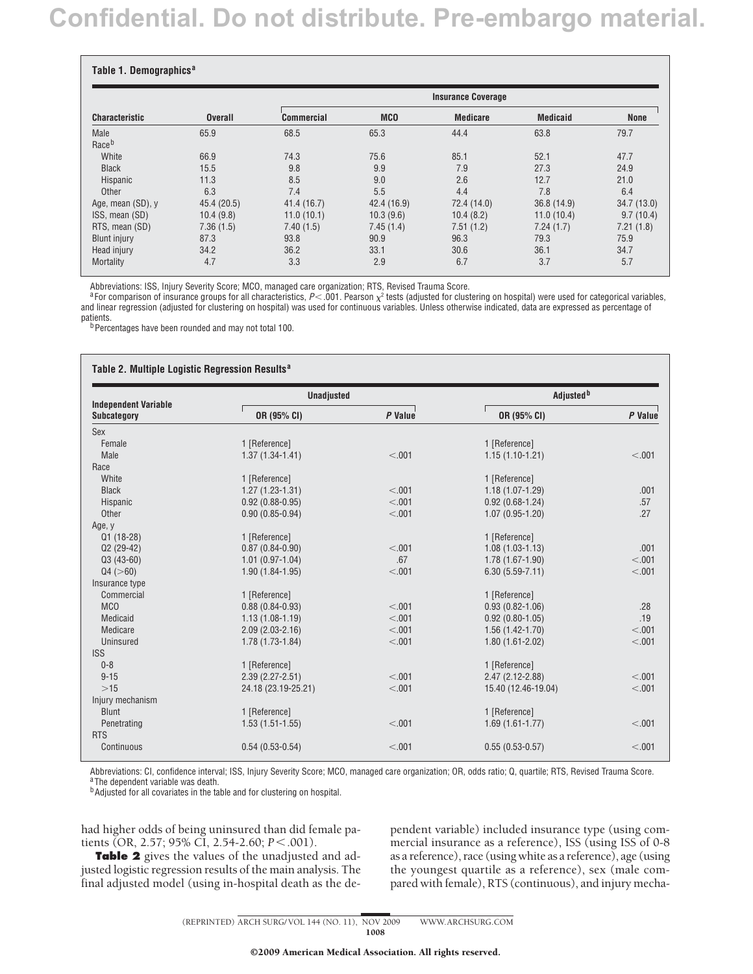#### **Table 1. Demographics<sup>a</sup>**

| <b>Characteristic</b> | <b>Overall</b> | <b>Insurance Coverage</b> |             |                 |                 |            |  |
|-----------------------|----------------|---------------------------|-------------|-----------------|-----------------|------------|--|
|                       |                | <b>Commercial</b>         | <b>MCO</b>  | <b>Medicare</b> | <b>Medicaid</b> | None       |  |
| Male                  | 65.9           | 68.5                      | 65.3        | 44.4            | 63.8            | 79.7       |  |
| Race <sup>b</sup>     |                |                           |             |                 |                 |            |  |
| White                 | 66.9           | 74.3                      | 75.6        | 85.1            | 52.1            | 47.7       |  |
| <b>Black</b>          | 15.5           | 9.8                       | 9.9         | 7.9             | 27.3            | 24.9       |  |
| Hispanic              | 11.3           | 8.5                       | 9.0         | 2.6             | 12.7            | 21.0       |  |
| Other                 | 6.3            | 7.4                       | 5.5         | 4.4             | 7.8             | 6.4        |  |
| Age, mean (SD), y     | 45.4 (20.5)    | 41.4(16.7)                | 42.4 (16.9) | 72.4 (14.0)     | 36.8 (14.9)     | 34.7(13.0) |  |
| ISS, mean (SD)        | 10.4(9.8)      | 11.0(10.1)                | 10.3(9.6)   | 10.4(8.2)       | 11.0(10.4)      | 9.7(10.4)  |  |
| RTS, mean (SD)        | 7.36(1.5)      | 7.40(1.5)                 | 7.45(1.4)   | 7.51(1.2)       | 7.24(1.7)       | 7.21(1.8)  |  |
| <b>Blunt injury</b>   | 87.3           | 93.8                      | 90.9        | 96.3            | 79.3            | 75.9       |  |
| Head injury           | 34.2           | 36.2                      | 33.1        | 30.6            | 36.1            | 34.7       |  |
| Mortality             | 4.7            | 3.3                       | 2.9         | 6.7             | 3.7             | 5.7        |  |

Abbreviations: ISS, Injury Severity Score; MCO, managed care organization; RTS, Revised Trauma Score.

 $a$  For comparison of insurance groups for all characteristics,  $P<.001$ . Pearson  $\chi^2$  tests (adjusted for clustering on hospital) were used for categorical variables, and linear regression (adjusted for clustering on hospital) was used for continuous variables. Unless otherwise indicated, data are expressed as percentage of patients.<br><sup>b</sup> Percentages have been rounded and may not total 100.

#### **Table 2. Multiple Logistic Regression Results<sup>a</sup>**

|                                                   | <b>Unadjusted</b>   | Adjusted <sup>b</sup> |                     |         |
|---------------------------------------------------|---------------------|-----------------------|---------------------|---------|
| <b>Independent Variable</b><br><b>Subcategory</b> | OR (95% CI)         | P Value               | OR (95% CI)         | P Value |
| Sex                                               |                     |                       |                     |         |
| Female                                            | 1 [Reference]       |                       | 1 [Reference]       |         |
| Male                                              | $1.37(1.34-1.41)$   | < .001                | $1.15(1.10-1.21)$   | < .001  |
| Race                                              |                     |                       |                     |         |
| White                                             | 1 [Reference]       |                       | 1 [Reference]       |         |
| <b>Black</b>                                      | $1.27(1.23-1.31)$   | < .001                | $1.18(1.07-1.29)$   | .001    |
| Hispanic                                          | $0.92(0.88-0.95)$   | < .001                | $0.92(0.68-1.24)$   | .57     |
| Other                                             | $0.90(0.85 - 0.94)$ | < .001                | $1.07(0.95-1.20)$   | .27     |
| Age, y                                            |                     |                       |                     |         |
| Q1 (18-28)                                        | 1 [Reference]       |                       | 1 [Reference]       |         |
| $Q2(29-42)$                                       | $0.87(0.84 - 0.90)$ | < .001                | $1.08(1.03 - 1.13)$ | .001    |
| $Q3(43-60)$                                       | $1.01(0.97-1.04)$   | .67                   | $1.78(1.67-1.90)$   | < .001  |
| Q4 (>60)                                          | $1.90(1.84-1.95)$   | < .001                | $6.30(5.59 - 7.11)$ | < .001  |
| Insurance type                                    |                     |                       |                     |         |
| Commercial                                        | 1 [Reference]       |                       | 1 [Reference]       |         |
| <b>MCO</b>                                        | $0.88(0.84 - 0.93)$ | < .001                | $0.93(0.82 - 1.06)$ | .28     |
| Medicaid                                          | $1.13(1.08-1.19)$   | < .001                | $0.92(0.80 - 1.05)$ | .19     |
| Medicare                                          | $2.09(2.03 - 2.16)$ | < .001                | $1.56(1.42 - 1.70)$ | < .001  |
| Uninsured                                         | $1.78(1.73-1.84)$   | < .001                | $1.80(1.61 - 2.02)$ | < .001  |
| <b>ISS</b>                                        |                     |                       |                     |         |
| $0 - 8$                                           | 1 [Reference]       |                       | 1 [Reference]       |         |
| $9 - 15$                                          | $2.39(2.27 - 2.51)$ | < 0.001               | $2.47(2.12 - 2.88)$ | < .001  |
| $>15$                                             | 24.18 (23.19-25.21) | < .001                | 15.40 (12.46-19.04) | < .001  |
| Injury mechanism                                  |                     |                       |                     |         |
| <b>Blunt</b>                                      | 1 [Reference]       |                       | 1 [Reference]       |         |
| Penetrating                                       | $1.53(1.51-1.55)$   | < .001                | $1.69(1.61-1.77)$   | < .001  |
| <b>RTS</b>                                        |                     |                       |                     |         |
| Continuous                                        | $0.54(0.53-0.54)$   | < .001                | $0.55(0.53-0.57)$   | < .001  |

Abbreviations: CI, confidence interval; ISS, Injury Severity Score; MCO, managed care organization; OR, odds ratio; Q, quartile; RTS, Revised Trauma Score.<br><sup>a</sup>The dependent variable was death.

**b**Adjusted for all covariates in the table and for clustering on hospital.

had higher odds of being uninsured than did female patients (OR, 2.57; 95% CI, 2.54-2.60; *P* < .001).

**Table 2** gives the values of the unadjusted and adjusted logistic regression results of the main analysis. The final adjusted model (using in-hospital death as the dependent variable) included insurance type (using commercial insurance as a reference), ISS (using ISS of 0-8 as a reference), race (using white as a reference), age (using the youngest quartile as a reference), sex (male compared with female), RTS (continuous), and injury mecha-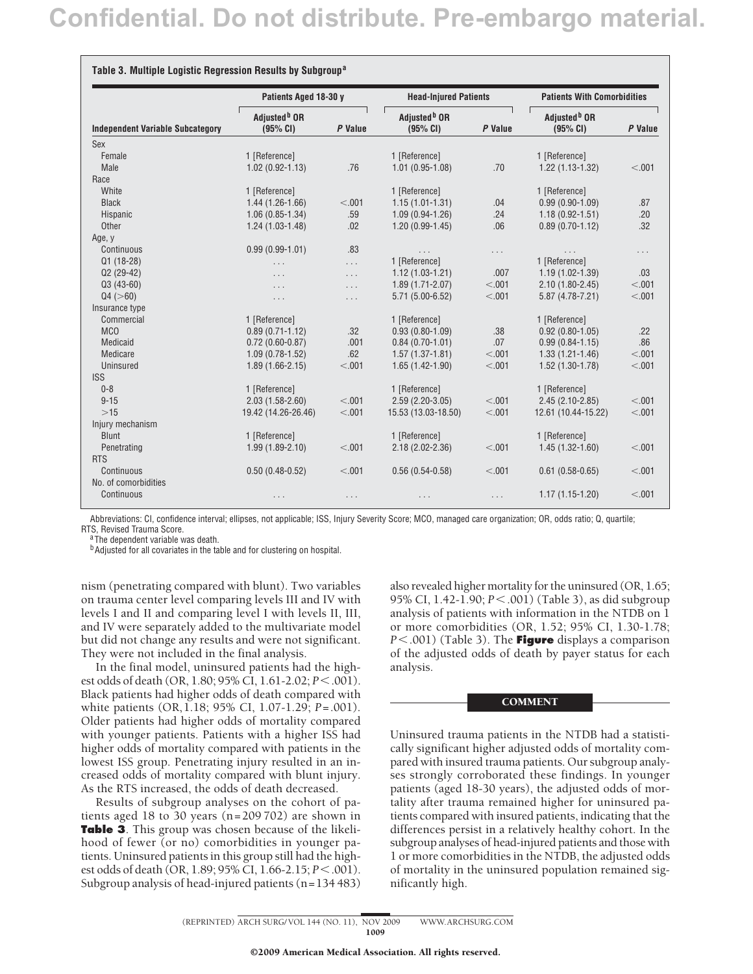|                                         | Patients Aged 18-30 y                |          | <b>Head-Injured Patients</b>         |          | <b>Patients With Comorbidities</b>   |         |
|-----------------------------------------|--------------------------------------|----------|--------------------------------------|----------|--------------------------------------|---------|
| <b>Independent Variable Subcategory</b> | Adiusted <sup>b</sup> OR<br>(95% CI) | P Value  | Adjusted <sup>b</sup> OR<br>(95% CI) | P Value  | Adiusted <sup>b</sup> OR<br>(95% CI) | P Value |
| Sex                                     |                                      |          |                                      |          |                                      |         |
| Female                                  | 1 [Reference]                        |          | 1 [Reference]                        |          | 1 [Reference]                        |         |
| Male                                    | $1.02(0.92 - 1.13)$                  | .76      | $1.01(0.95-1.08)$                    | .70      | $1.22(1.13-1.32)$                    | < .001  |
| Race                                    |                                      |          |                                      |          |                                      |         |
| White                                   | 1 [Reference]                        |          | 1 [Reference]                        |          | 1 [Reference]                        |         |
| <b>Black</b>                            | $1.44(1.26-1.66)$                    | < .001   | $1.15(1.01 - 1.31)$                  | .04      | $0.99(0.90-1.09)$                    | .87     |
| Hispanic                                | $1.06(0.85-1.34)$                    | .59      | $1.09(0.94-1.26)$                    | .24      | $1.18(0.92 - 1.51)$                  | .20     |
| Other                                   | $1.24(1.03-1.48)$                    | .02      | $1.20(0.99-1.45)$                    | .06      | $0.89(0.70-1.12)$                    | .32     |
| Age, y                                  |                                      |          |                                      |          |                                      |         |
| Continuous                              | $0.99(0.99-1.01)$                    | .83      |                                      | $\cdots$ |                                      | .       |
| Q1 (18-28)                              | .                                    | $\ldots$ | 1 [Reference]                        |          | 1 [Reference]                        |         |
| $Q2(29-42)$                             | .                                    | .        | $1.12(1.03-1.21)$                    | .007     | $1.19(1.02 - 1.39)$                  | .03     |
| $Q3(43-60)$                             |                                      | .        | 1.89 (1.71-2.07)                     | < .001   | $2.10(1.80-2.45)$                    | < .001  |
| Q4 (>60)                                | .                                    | $\cdots$ | $5.71(5.00-6.52)$                    | < .001   | $5.87(4.78 - 7.21)$                  | < .001  |
| Insurance type                          |                                      |          |                                      |          |                                      |         |
| Commercial                              | 1 [Reference]                        |          | 1 [Reference]                        |          | 1 [Reference]                        |         |
| <b>MCO</b>                              | $0.89(0.71 - 1.12)$                  | .32      | $0.93(0.80-1.09)$                    | .38      | $0.92(0.80-1.05)$                    | .22     |
| Medicaid                                | $0.72(0.60-0.87)$                    | .001     | $0.84(0.70-1.01)$                    | .07      | $0.99(0.84 - 1.15)$                  | .86     |
| Medicare                                | $1.09(0.78-1.52)$                    | .62      | $1.57(1.37-1.81)$                    | < .001   | $1.33(1.21 - 1.46)$                  | < .001  |
| Uninsured                               | $1.89(1.66 - 2.15)$                  | < .001   | $1.65(1.42-1.90)$                    | < .001   | $1.52(1.30-1.78)$                    | < .001  |
| <b>ISS</b>                              |                                      |          |                                      |          |                                      |         |
| $0 - 8$                                 | 1 [Reference]                        |          | 1 [Reference]                        |          | 1 [Reference]                        |         |
| $9 - 15$                                | $2.03(1.58 - 2.60)$                  | < .001   | $2.59(2.20-3.05)$                    | < .001   | $2.45(2.10-2.85)$                    | < .001  |
| $>15$                                   | 19.42 (14.26-26.46)                  | < .001   | 15.53 (13.03-18.50)                  | < .001   | 12.61 (10.44-15.22)                  | < .001  |
| Injury mechanism                        |                                      |          |                                      |          |                                      |         |
| <b>Blunt</b>                            | 1 [Reference]                        |          | 1 [Reference]                        |          | 1 [Reference]                        |         |
| Penetrating                             | $1.99(1.89 - 2.10)$                  | < .001   | $2.18(2.02 - 2.36)$                  | < .001   | $1.45(1.32-1.60)$                    | < .001  |
| <b>RTS</b>                              |                                      |          |                                      |          |                                      |         |
| Continuous                              | $0.50(0.48-0.52)$                    | < .001   | $0.56(0.54-0.58)$                    | < .001   | $0.61(0.58-0.65)$                    | < .001  |
| No. of comorbidities                    |                                      |          |                                      |          |                                      |         |
| Continuous                              |                                      | $\cdots$ | .                                    | $\cdots$ | $1.17(1.15-1.20)$                    | < .001  |

Abbreviations: CI, confidence interval; ellipses, not applicable; ISS, Injury Severity Score; MCO, managed care organization; OR, odds ratio; Q, quartile; RTS, Revised Trauma Score.<br><sup>a</sup>The dependent variable was death.

<sup>b</sup> Adjusted for all covariates in the table and for clustering on hospital.

nism (penetrating compared with blunt). Two variables on trauma center level comparing levels III and IV with levels I and II and comparing level I with levels II, III, and IV were separately added to the multivariate model but did not change any results and were not significant. They were not included in the final analysis.

In the final model, uninsured patients had the highest odds of death (OR, 1.80; 95% CI, 1.61-2.02; *P* < .001). Black patients had higher odds of death compared with white patients (OR,1.18; 95% CI, 1.07-1.29; *P*=.001). Older patients had higher odds of mortality compared with younger patients. Patients with a higher ISS had higher odds of mortality compared with patients in the lowest ISS group. Penetrating injury resulted in an increased odds of mortality compared with blunt injury. As the RTS increased, the odds of death decreased.

Results of subgroup analyses on the cohort of patients aged 18 to 30 years (n=209 702) are shown in **Table 3**. This group was chosen because of the likelihood of fewer (or no) comorbidities in younger patients. Uninsured patients in this group still had the highest odds of death (OR, 1.89; 95% CI, 1.66-2.15; *P* < .001). Subgroup analysis of head-injured patients (n=134 483) also revealed higher mortality for the uninsured (OR, 1.65; 95% CI, 1.42-1.90; *P*<.001) (Table 3), as did subgroup analysis of patients with information in the NTDB on 1 or more comorbidities (OR, 1.52; 95% CI, 1.30-1.78; *P*.001) (Table 3). The **Figure** displays a comparison of the adjusted odds of death by payer status for each analysis.

#### **COMMENT**

Uninsured trauma patients in the NTDB had a statistically significant higher adjusted odds of mortality compared with insured trauma patients. Our subgroup analyses strongly corroborated these findings. In younger patients (aged 18-30 years), the adjusted odds of mortality after trauma remained higher for uninsured patients compared with insured patients, indicating that the differences persist in a relatively healthy cohort. In the subgroup analyses of head-injured patients and those with 1 or more comorbidities in the NTDB, the adjusted odds of mortality in the uninsured population remained significantly high.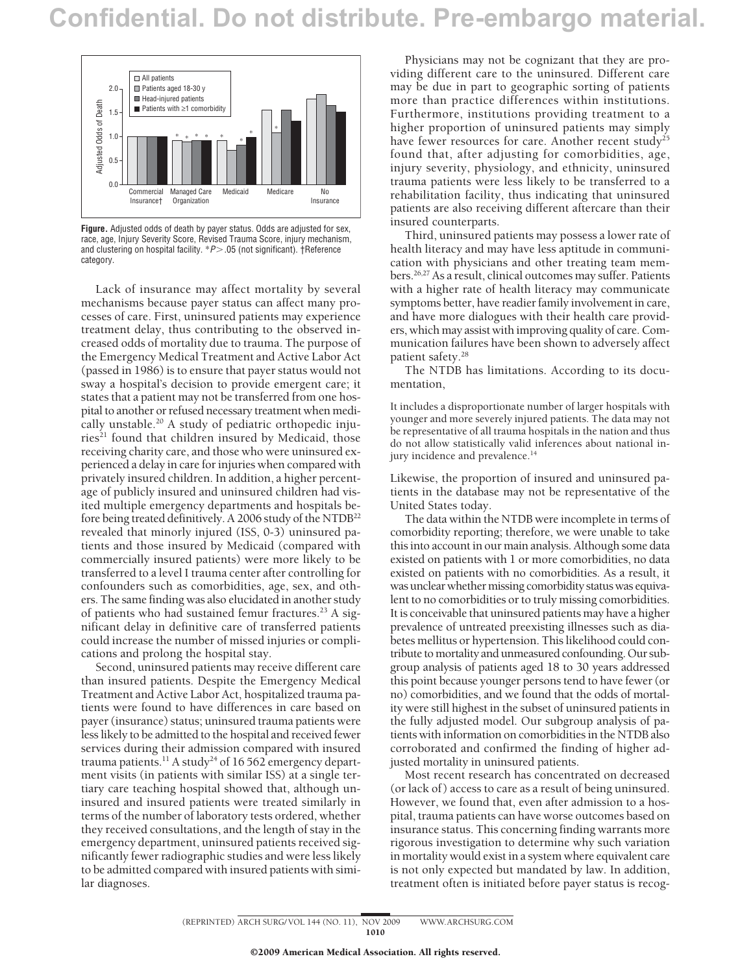

**Figure.** Adjusted odds of death by payer status. Odds are adjusted for sex, race, age, Injury Severity Score, Revised Trauma Score, injury mechanism, and clustering on hospital facility. \**P* > .05 (not significant). †Reference category.

Lack of insurance may affect mortality by several mechanisms because payer status can affect many processes of care. First, uninsured patients may experience treatment delay, thus contributing to the observed increased odds of mortality due to trauma. The purpose of the Emergency Medical Treatment and Active Labor Act (passed in 1986) is to ensure that payer status would not sway a hospital's decision to provide emergent care; it states that a patient may not be transferred from one hospital to another or refused necessary treatment when medically unstable.<sup>20</sup> A study of pediatric orthopedic inju $ries<sup>21</sup>$  found that children insured by Medicaid, those receiving charity care, and those who were uninsured experienced a delay in care for injuries when compared with privately insured children. In addition, a higher percentage of publicly insured and uninsured children had visited multiple emergency departments and hospitals before being treated definitively. A 2006 study of the NTDB<sup>22</sup> revealed that minorly injured (ISS, 0-3) uninsured patients and those insured by Medicaid (compared with commercially insured patients) were more likely to be transferred to a level I trauma center after controlling for confounders such as comorbidities, age, sex, and others. The same finding was also elucidated in another study of patients who had sustained femur fractures.<sup>23</sup> A significant delay in definitive care of transferred patients could increase the number of missed injuries or complications and prolong the hospital stay.

Second, uninsured patients may receive different care than insured patients. Despite the Emergency Medical Treatment and Active Labor Act, hospitalized trauma patients were found to have differences in care based on payer (insurance) status; uninsured trauma patients were less likely to be admitted to the hospital and received fewer services during their admission compared with insured trauma patients.<sup>11</sup> A study<sup>24</sup> of 16 562 emergency department visits (in patients with similar ISS) at a single tertiary care teaching hospital showed that, although uninsured and insured patients were treated similarly in terms of the number of laboratory tests ordered, whether they received consultations, and the length of stay in the emergency department, uninsured patients received significantly fewer radiographic studies and were less likely to be admitted compared with insured patients with similar diagnoses.

Physicians may not be cognizant that they are providing different care to the uninsured. Different care may be due in part to geographic sorting of patients more than practice differences within institutions. Furthermore, institutions providing treatment to a higher proportion of uninsured patients may simply have fewer resources for care. Another recent study<sup>25</sup> found that, after adjusting for comorbidities, age, injury severity, physiology, and ethnicity, uninsured trauma patients were less likely to be transferred to a rehabilitation facility, thus indicating that uninsured patients are also receiving different aftercare than their insured counterparts.

Third, uninsured patients may possess a lower rate of health literacy and may have less aptitude in communication with physicians and other treating team members.26,27 As a result, clinical outcomes may suffer. Patients with a higher rate of health literacy may communicate symptoms better, have readier family involvement in care, and have more dialogues with their health care providers, which may assist with improving quality of care. Communication failures have been shown to adversely affect patient safety.28

The NTDB has limitations. According to its documentation,

It includes a disproportionate number of larger hospitals with younger and more severely injured patients. The data may not be representative of all trauma hospitals in the nation and thus do not allow statistically valid inferences about national injury incidence and prevalence.<sup>14</sup>

Likewise, the proportion of insured and uninsured patients in the database may not be representative of the United States today.

The data within the NTDB were incomplete in terms of comorbidity reporting; therefore, we were unable to take this into account in our main analysis. Although some data existed on patients with 1 or more comorbidities, no data existed on patients with no comorbidities. As a result, it was unclear whether missing comorbidity status was equivalent to no comorbidities or to truly missing comorbidities. It is conceivable that uninsured patients may have a higher prevalence of untreated preexisting illnesses such as diabetes mellitus or hypertension. This likelihood could contribute to mortality and unmeasured confounding. Our subgroup analysis of patients aged 18 to 30 years addressed this point because younger persons tend to have fewer (or no) comorbidities, and we found that the odds of mortality were still highest in the subset of uninsured patients in the fully adjusted model. Our subgroup analysis of patients with information on comorbidities in the NTDB also corroborated and confirmed the finding of higher adjusted mortality in uninsured patients.

Most recent research has concentrated on decreased (or lack of) access to care as a result of being uninsured. However, we found that, even after admission to a hospital, trauma patients can have worse outcomes based on insurance status. This concerning finding warrants more rigorous investigation to determine why such variation in mortality would exist in a system where equivalent care is not only expected but mandated by law. In addition, treatment often is initiated before payer status is recog-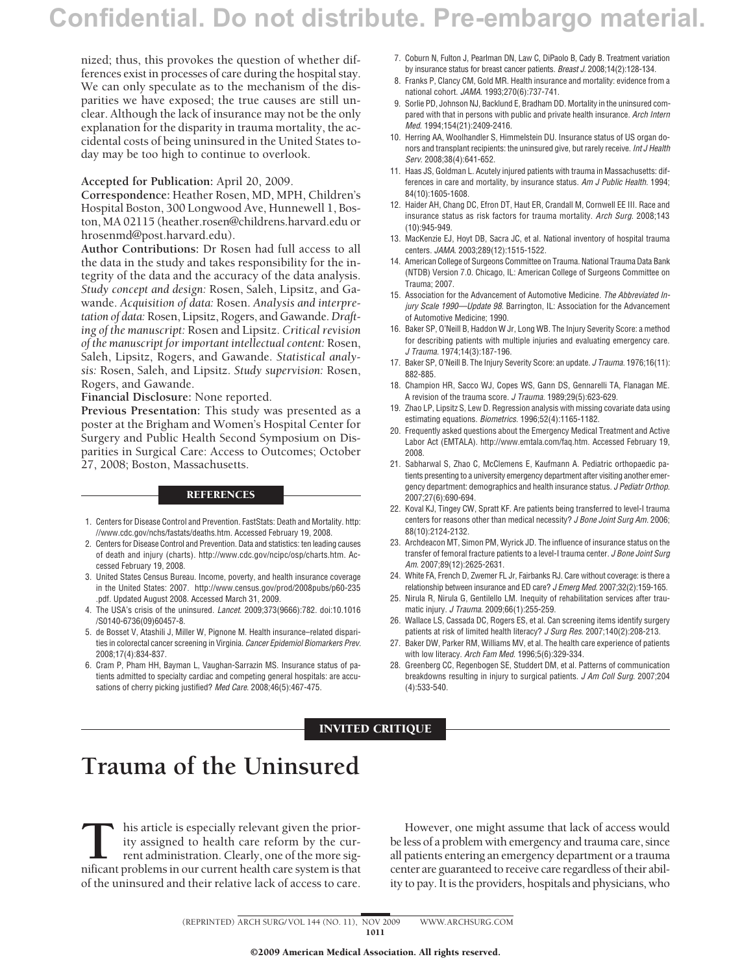nized; thus, this provokes the question of whether differences exist in processes of care during the hospital stay. We can only speculate as to the mechanism of the disparities we have exposed; the true causes are still unclear. Although the lack of insurance may not be the only explanation for the disparity in trauma mortality, the accidental costs of being uninsured in the United States today may be too high to continue to overlook.

#### **Accepted for Publication:** April 20, 2009.

**Correspondence:** Heather Rosen, MD, MPH, Children's Hospital Boston, 300 Longwood Ave, Hunnewell 1, Boston, MA 02115 (heather.rosen@childrens.harvard.edu or hrosenmd@post.harvard.edu).

**Author Contributions:** Dr Rosen had full access to all the data in the study and takes responsibility for the integrity of the data and the accuracy of the data analysis. *Study concept and design:* Rosen, Saleh, Lipsitz, and Gawande. *Acquisition of data:* Rosen. *Analysis and interpretation of data:* Rosen, Lipsitz, Rogers, and Gawande.*Drafting of the manuscript:* Rosen and Lipsitz. *Critical revision of the manuscript for important intellectual content:* Rosen, Saleh, Lipsitz, Rogers, and Gawande. *Statistical analysis:* Rosen, Saleh, and Lipsitz. *Study supervision:* Rosen, Rogers, and Gawande.

**Financial Disclosure:** None reported.

**Previous Presentation:** This study was presented as a poster at the Brigham and Women's Hospital Center for Surgery and Public Health Second Symposium on Disparities in Surgical Care: Access to Outcomes; October 27, 2008; Boston, Massachusetts.

#### **REFERENCES**

- 1. Centers for Disease Control and Prevention. FastStats: Death and Mortality. http: //www.cdc.gov/nchs/fastats/deaths.htm. Accessed February 19, 2008.
- 2. Centers for Disease Control and Prevention. Data and statistics: ten leading causes of death and injury (charts). http://www.cdc.gov/ncipc/osp/charts.htm. Accessed February 19, 2008.
- 3. United States Census Bureau. Income, poverty, and health insurance coverage in the United States: 2007. http://www.census.gov/prod/2008pubs/p60-235 .pdf. Updated August 2008. Accessed March 31, 2009.
- 4. The USA's crisis of the uninsured. *Lancet*. 2009;373(9666):782. doi:10.1016 /S0140-6736(09)60457-8.
- 5. de Bosset V, Atashili J, Miller W, Pignone M. Health insurance–related disparities in colorectal cancer screening in Virginia. *Cancer Epidemiol Biomarkers Prev*. 2008;17(4):834-837.
- 6. Cram P, Pham HH, Bayman L, Vaughan-Sarrazin MS. Insurance status of patients admitted to specialty cardiac and competing general hospitals: are accusations of cherry picking justified? *Med Care*. 2008;46(5):467-475.
- 7. Coburn N, Fulton J, Pearlman DN, Law C, DiPaolo B, Cady B. Treatment variation by insurance status for breast cancer patients. *Breast J*. 2008;14(2):128-134.
- 8. Franks P, Clancy CM, Gold MR. Health insurance and mortality: evidence from a national cohort. *JAMA*. 1993;270(6):737-741.
- 9. Sorlie PD, Johnson NJ, Backlund E, Bradham DD. Mortality in the uninsured compared with that in persons with public and private health insurance. *Arch Intern Med*. 1994;154(21):2409-2416.
- 10. Herring AA, Woolhandler S, Himmelstein DU. Insurance status of US organ donors and transplant recipients: the uninsured give, but rarely receive. *Int J Health Serv*. 2008;38(4):641-652.
- 11. Haas JS, Goldman L. Acutely injured patients with trauma in Massachusetts: differences in care and mortality, by insurance status. *Am J Public Health*. 1994; 84(10):1605-1608.
- 12. Haider AH, Chang DC, Efron DT, Haut ER, Crandall M, Cornwell EE III. Race and insurance status as risk factors for trauma mortality. *Arch Surg*. 2008;143 (10):945-949.
- 13. MacKenzie EJ, Hoyt DB, Sacra JC, et al. National inventory of hospital trauma centers. *JAMA*. 2003;289(12):1515-1522.
- 14. American College of Surgeons Committee on Trauma. National Trauma Data Bank (NTDB) Version 7.0. Chicago, IL: American College of Surgeons Committee on Trauma; 2007.
- 15. Association for the Advancement of Automotive Medicine. *The Abbreviated Injury Scale 1990—Update 98.* Barrington, IL: Association for the Advancement of Automotive Medicine; 1990.
- 16. Baker SP, O'Neill B, Haddon W Jr, Long WB. The Injury Severity Score: a method for describing patients with multiple injuries and evaluating emergency care. *J Trauma*. 1974;14(3):187-196.
- 17. Baker SP, O'Neill B. The Injury Severity Score: an update. *J Trauma*. 1976;16(11): 882-885.
- 18. Champion HR, Sacco WJ, Copes WS, Gann DS, Gennarelli TA, Flanagan ME. A revision of the trauma score. *J Trauma*. 1989;29(5):623-629.
- 19. Zhao LP, Lipsitz S, Lew D. Regression analysis with missing covariate data using estimating equations. *Biometrics*. 1996;52(4):1165-1182.
- 20. Frequently asked questions about the Emergency Medical Treatment and Active Labor Act (EMTALA). http://www.emtala.com/faq.htm. Accessed February 19, 2008.
- 21. Sabharwal S, Zhao C, McClemens E, Kaufmann A. Pediatric orthopaedic patients presenting to a university emergency department after visiting another emergency department: demographics and health insurance status. *J Pediatr Orthop*. 2007;27(6):690-694.
- 22. Koval KJ, Tingey CW, Spratt KF. Are patients being transferred to level-I trauma centers for reasons other than medical necessity? *J Bone Joint Surg Am*. 2006; 88(10):2124-2132.
- 23. Archdeacon MT, Simon PM, Wyrick JD. The influence of insurance status on the transfer of femoral fracture patients to a level-I trauma center. *J Bone Joint Surg Am*. 2007;89(12):2625-2631.
- 24. White FA, French D, Zwemer FL Jr, Fairbanks RJ. Care without coverage: is there a relationship between insurance and ED care? *J Emerg Med*. 2007;32(2):159-165.
- 25. Nirula R, Nirula G, Gentilello LM. Inequity of rehabilitation services after traumatic injury. *J Trauma*. 2009;66(1):255-259.
- 26. Wallace LS, Cassada DC, Rogers ES, et al. Can screening items identify surgery patients at risk of limited health literacy? *J Surg Res*. 2007;140(2):208-213.
- 27. Baker DW, Parker RM, Williams MV, et al. The health care experience of patients with low literacy. *Arch Fam Med*. 1996;5(6):329-334.
- 28. Greenberg CC, Regenbogen SE, Studdert DM, et al. Patterns of communication breakdowns resulting in injury to surgical patients. *J Am Coll Surg*. 2007;204 (4):533-540.

### INVITED CRITIQUE

# **Trauma of the Uninsured**

This article is especially relevant given the prior-<br>ity assigned to health care reform by the cur-<br>rent administration. Clearly, one of the more sig-<br>nificant problems in our current health care system is that ity assigned to health care reform by the current administration. Clearly, one of the more significant problems in our current health care system is that of the uninsured and their relative lack of access to care.

However, one might assume that lack of access would be less of a problem with emergency and trauma care, since all patients entering an emergency department or a trauma center are guaranteed to receive care regardless of their ability to pay. It is the providers, hospitals and physicians, who

(REPRINTED) ARCH SURG/ VOL 144 (NO. 11), NOV 2009 WWW.ARCHSURG.COM 1011